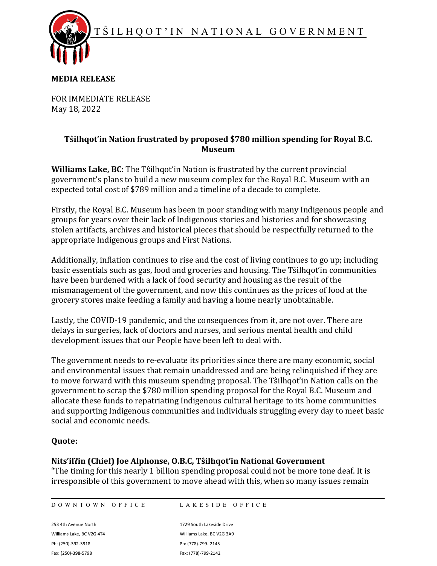T Ŝ ILHQOT ' I N NATIONAL GOVERNMENT



### **MEDIA RELEASE**

FOR IMMEDIATE RELEASE May 18, 2022

# **Tŝilhqot'in Nation frustrated by proposed \$780 million spending for Royal B.C. Museum**

**Williams Lake, BC**: The Tŝilhqot'in Nation is frustrated by the current provincial government's plans to build a new museum complex for the Royal B.C. Museum with an expected total cost of \$789 million and a timeline of a decade to complete.

Firstly, the Royal B.C. Museum has been in poor standing with many Indigenous people and groups for years over their lack of Indigenous stories and histories and for showcasing stolen artifacts, archives and historical pieces that should be respectfully returned to the appropriate Indigenous groups and First Nations.

Additionally, inflation continues to rise and the cost of living continues to go up; including basic essentials such as gas, food and groceries and housing. The Tŝilhqot'in communities have been burdened with a lack of food security and housing as the result of the mismanagement of the government, and now this continues as the prices of food at the grocery stores make feeding a family and having a home nearly unobtainable.

Lastly, the COVID-19 pandemic, and the consequences from it, are not over. There are delays in surgeries, lack of doctors and nurses, and serious mental health and child development issues that our People have been left to deal with.

The government needs to re-evaluate its priorities since there are many economic, social and environmental issues that remain unaddressed and are being relinquished if they are to move forward with this museum spending proposal. The Tŝilhqot'in Nation calls on the government to scrap the \$780 million spending proposal for the Royal B.C. Museum and allocate these funds to repatriating Indigenous cultural heritage to its home communities and supporting Indigenous communities and individuals struggling every day to meet basic social and economic needs.

# **Quote:**

#### **Nits'ilʔin (Chief) Joe Alphonse, O.B.C, Tŝilhqot'in National Government**

"The timing for this nearly 1 billion spending proposal could not be more tone deaf. It is irresponsible of this government to move ahead with this, when so many issues remain

DOWNTOWN OFFICE LAKESIDE OFFICE

Williams Lake, BC V2G 4T4 Williams Lake, BC V2G 3A9 Ph: (250)-392-3918 Ph: (778)-799- 2145 Fax: (250)-398-5798 Fax: (778)-799-2142

253 4th Avenue North 1729 South Lakeside Drive